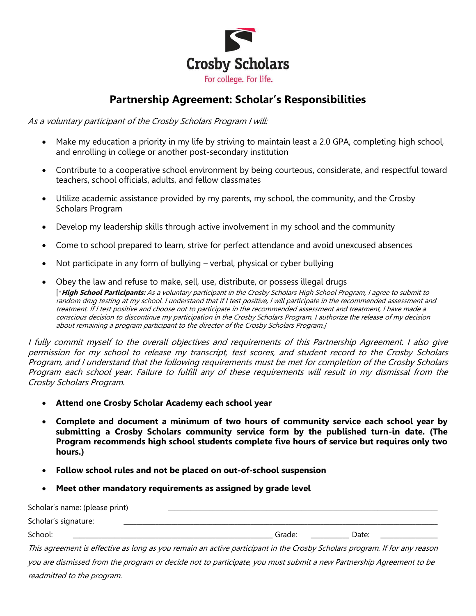

## **Partnership Agreement: Scholar's Responsibilities**

As a voluntary participant of the Crosby Scholars Program I will:

- Make my education a priority in my life by striving to maintain least a 2.0 GPA, completing high school, and enrolling in college or another post-secondary institution
- Contribute to a cooperative school environment by being courteous, considerate, and respectful toward teachers, school officials, adults, and fellow classmates
- Utilize academic assistance provided by my parents, my school, the community, and the Crosby Scholars Program
- Develop my leadership skills through active involvement in my school and the community
- Come to school prepared to learn, strive for perfect attendance and avoid unexcused absences
- Not participate in any form of bullying verbal, physical or cyber bullying
- Obey the law and refuse to make, sell, use, distribute, or possess illegal drugs [\***High School Participants:** As a voluntary participant in the Crosby Scholars High School Program, I agree to submit to random drug testing at my school. I understand that if I test positive, I will participate in the recommended assessment and treatment. If I test positive and choose not to participate in the recommended assessment and treatment, I have made a conscious decision to discontinue my participation in the Crosby Scholars Program. I authorize the release of my decision about remaining a program participant to the director of the Crosby Scholars Program.]

I fully commit myself to the overall objectives and requirements of this Partnership Agreement. I also give permission for my school to release my transcript, test scores, and student record to the Crosby Scholars Program, and I understand that the following requirements must be met for completion of the Crosby Scholars Program each school year. Failure to fulfill any of these requirements will result in my dismissal from the Crosby Scholars Program.

- **Attend one Crosby Scholar Academy each school year**
- **Complete and document a minimum of two hours of community service each school year by submitting a Crosby Scholars community service form by the published turn-in date. (The Program recommends high school students complete five hours of service but requires only two hours.)**
- **Follow school rules and not be placed on out-of-school suspension**
- **Meet other mandatory requirements as assigned by grade level**

| Scholar's name: (please print)                                                                                            |        |       |
|---------------------------------------------------------------------------------------------------------------------------|--------|-------|
| Scholar's signature:                                                                                                      |        |       |
| School:                                                                                                                   | Grade: | Date: |
| This agreement is effective as long as you remain an active participant in the Crosby Scholars program. If for any reason |        |       |
| you are dismissed from the program or decide not to participate, you must submit a new Partnership Agreement to be        |        |       |
| readmitted to the program.                                                                                                |        |       |